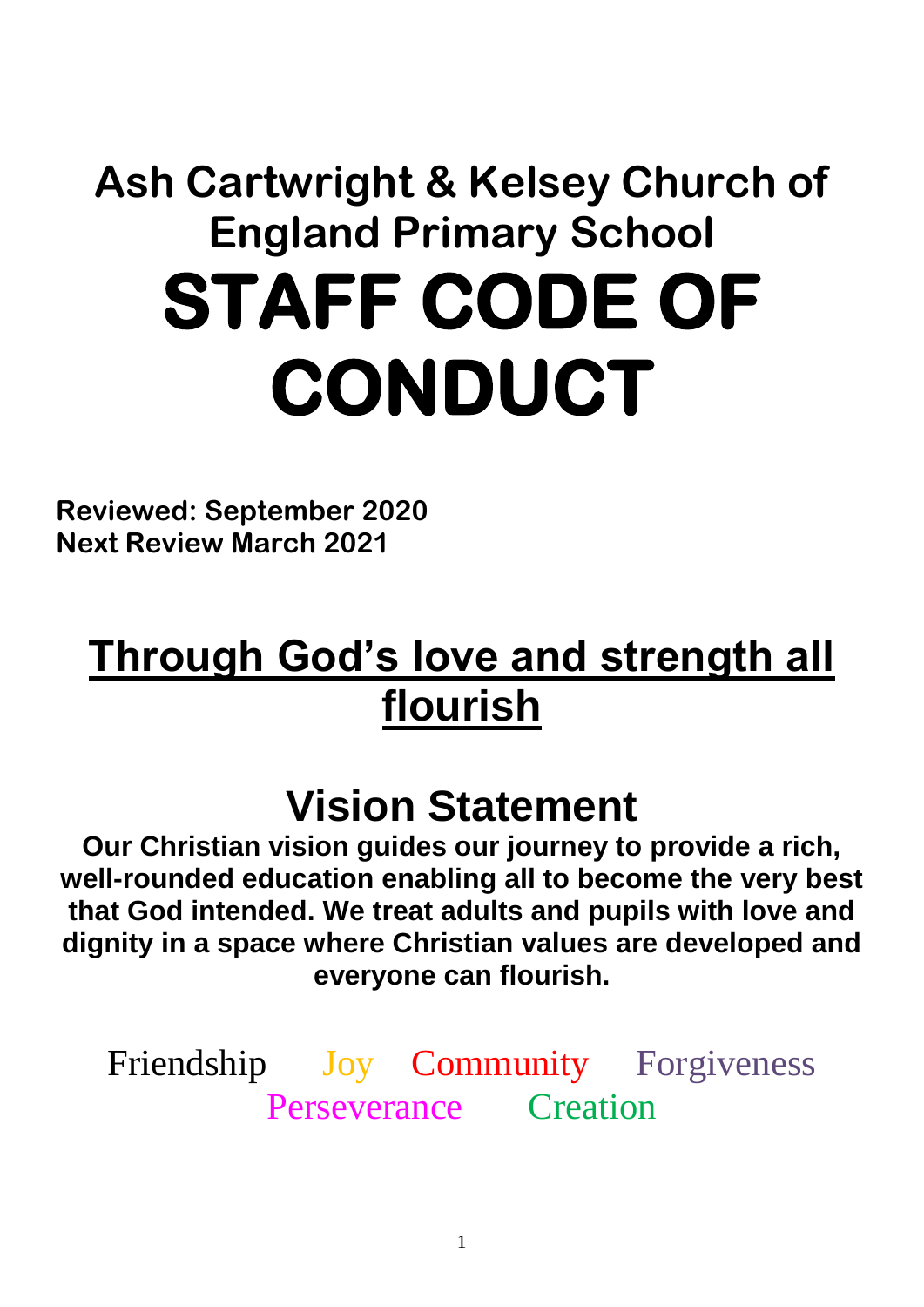# **Ash Cartwright & Kelsey Church of England Primary School STAFF CODE OF CONDUCT**

**Reviewed: September 2020 Next Review March 2021**

## **Through God's love and strength all flourish**

### **Vision Statement**

**Our Christian vision guides our journey to provide a rich, well-rounded education enabling all to become the very best that God intended. We treat adults and pupils with love and dignity in a space where Christian values are developed and everyone can flourish.**

Friendship Joy Community Forgiveness Perseverance Creation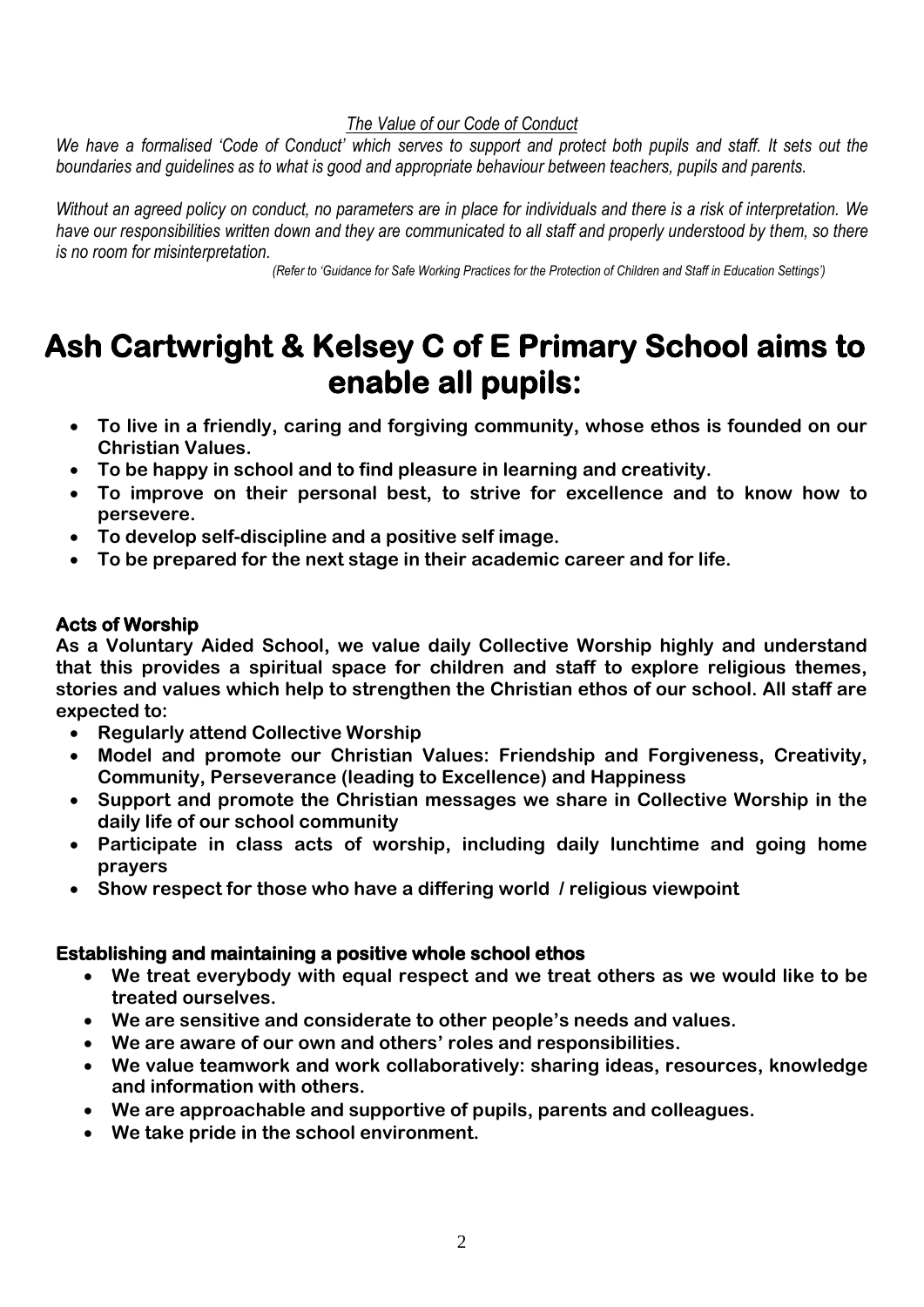#### *The Value of our Code of Conduct*

*We have a formalised 'Code of Conduct' which serves to support and protect both pupils and staff. It sets out the boundaries and guidelines as to what is good and appropriate behaviour between teachers, pupils and parents.* 

*Without an agreed policy on conduct, no parameters are in place for individuals and there is a risk of interpretation. We have our responsibilities written down and they are communicated to all staff and properly understood by them, so there is no room for misinterpretation.*

 *(Refer to 'Guidance for Safe Working Practices for the Protection of Children and Staff in Education Settings')*

### **Ash Cartwright & Kelsey C of E Primary School aims to enable all pupils:**

- **To live in a friendly, caring and forgiving community, whose ethos is founded on our Christian Values.**
- **To be happy in school and to find pleasure in learning and creativity.**
- **To improve on their personal best, to strive for excellence and to know how to persevere.**
- **To develop self-discipline and a positive self image.**
- **To be prepared for the next stage in their academic career and for life.**

#### **Acts of Worship**

**As a Voluntary Aided School, we value daily Collective Worship highly and understand that this provides a spiritual space for children and staff to explore religious themes, stories and values which help to strengthen the Christian ethos of our school. All staff are expected to:**

- **Regularly attend Collective Worship**
- **Model and promote our Christian Values: Friendship and Forgiveness, Creativity, Community, Perseverance (leading to Excellence) and Happiness**
- **Support and promote the Christian messages we share in Collective Worship in the daily life of our school community**
- **Participate in class acts of worship, including daily lunchtime and going home prayers**
- **Show respect for those who have a differing world / religious viewpoint**

#### **Establishing and maintaining a positive whole school ethos**

- **We treat everybody with equal respect and we treat others as we would like to be treated ourselves.**
- **We are sensitive and considerate to other people's needs and values.**
- **We are aware of our own and others' roles and responsibilities.**
- **We value teamwork and work collaboratively: sharing ideas, resources, knowledge and information with others.**
- **We are approachable and supportive of pupils, parents and colleagues.**
- **We take pride in the school environment.**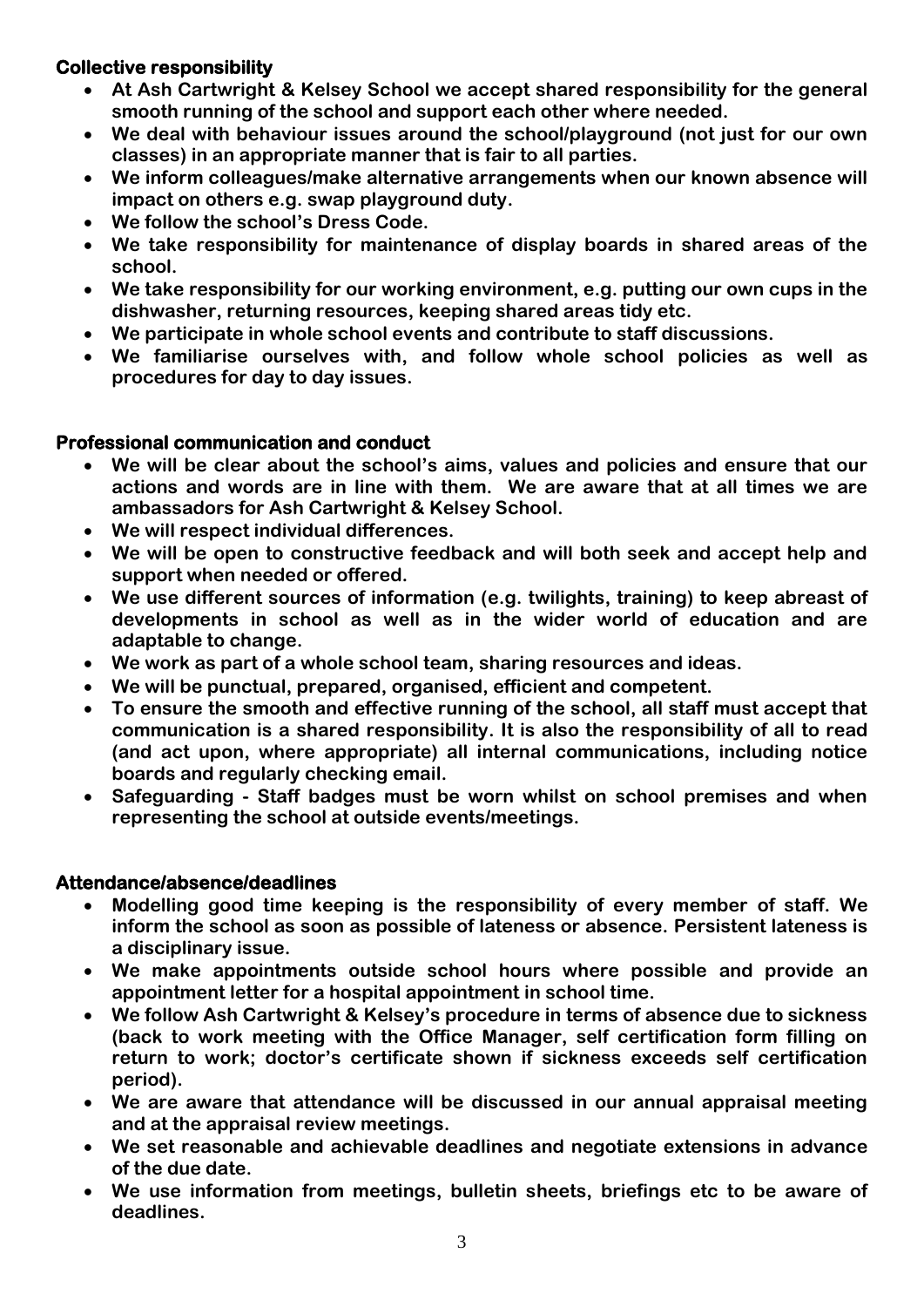#### **Collective responsibility**

- **At Ash Cartwright & Kelsey School we accept shared responsibility for the general smooth running of the school and support each other where needed.**
- **We deal with behaviour issues around the school/playground (not just for our own classes) in an appropriate manner that is fair to all parties.**
- **We inform colleagues/make alternative arrangements when our known absence will impact on others e.g. swap playground duty.**
- **We follow the school's Dress Code.**
- **We take responsibility for maintenance of display boards in shared areas of the school.**
- **We take responsibility for our working environment, e.g. putting our own cups in the dishwasher, returning resources, keeping shared areas tidy etc.**
- **We participate in whole school events and contribute to staff discussions.**
- **We familiarise ourselves with, and follow whole school policies as well as procedures for day to day issues.**

#### **Professional communication and conduct**

- **We will be clear about the school's aims, values and policies and ensure that our actions and words are in line with them. We are aware that at all times we are ambassadors for Ash Cartwright & Kelsey School.**
- **We will respect individual differences.**
- **We will be open to constructive feedback and will both seek and accept help and support when needed or offered.**
- **We use different sources of information (e.g. twilights, training) to keep abreast of developments in school as well as in the wider world of education and are adaptable to change.**
- **We work as part of a whole school team, sharing resources and ideas.**
- **We will be punctual, prepared, organised, efficient and competent.**
- **To ensure the smooth and effective running of the school, all staff must accept that communication is a shared responsibility. It is also the responsibility of all to read (and act upon, where appropriate) all internal communications, including notice boards and regularly checking email.**
- **Safeguarding - Staff badges must be worn whilst on school premises and when representing the school at outside events/meetings.**

#### **Attendance/absence/deadlines**

- **Modelling good time keeping is the responsibility of every member of staff. We inform the school as soon as possible of lateness or absence. Persistent lateness is a disciplinary issue.**
- **We make appointments outside school hours where possible and provide an appointment letter for a hospital appointment in school time.**
- **We follow Ash Cartwright & Kelsey's procedure in terms of absence due to sickness (back to work meeting with the Office Manager, self certification form filling on return to work; doctor's certificate shown if sickness exceeds self certification period).**
- **We are aware that attendance will be discussed in our annual appraisal meeting and at the appraisal review meetings.**
- **We set reasonable and achievable deadlines and negotiate extensions in advance of the due date.**
- **We use information from meetings, bulletin sheets, briefings etc to be aware of deadlines.**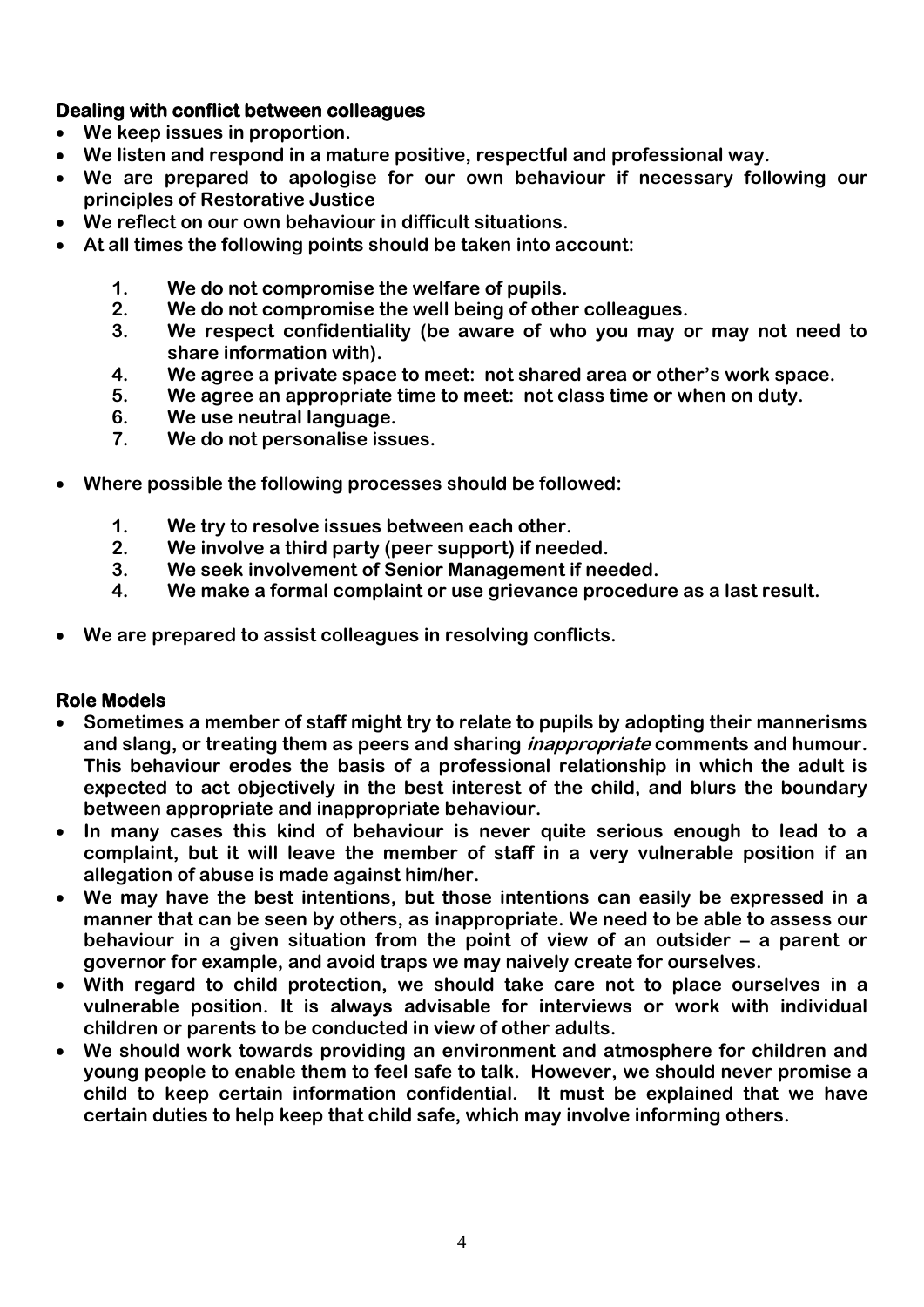#### **Dealing with conflict between colleagues**

- **We keep issues in proportion.**
- **We listen and respond in a mature positive, respectful and professional way.**
- **We are prepared to apologise for our own behaviour if necessary following our principles of Restorative Justice**
- **We reflect on our own behaviour in difficult situations.**
- **At all times the following points should be taken into account:**
	- **1. We do not compromise the welfare of pupils.**
	- **2. We do not compromise the well being of other colleagues.**
	- **3. We respect confidentiality (be aware of who you may or may not need to share information with).**
	- **4. We agree a private space to meet: not shared area or other's work space.**
	- **5. We agree an appropriate time to meet: not class time or when on duty.**
	- **6. We use neutral language.**
	- **7. We do not personalise issues.**
- **Where possible the following processes should be followed:**
	- **1. We try to resolve issues between each other.**
	- **2. We involve a third party (peer support) if needed.**
	- **3. We seek involvement of Senior Management if needed.**
	- **4. We make a formal complaint or use grievance procedure as a last result.**
- **We are prepared to assist colleagues in resolving conflicts.**

#### **Role Models**

- **Sometimes a member of staff might try to relate to pupils by adopting their mannerisms and slang, or treating them as peers and sharing inappropriate comments and humour. This behaviour erodes the basis of a professional relationship in which the adult is expected to act objectively in the best interest of the child, and blurs the boundary between appropriate and inappropriate behaviour.**
- **In many cases this kind of behaviour is never quite serious enough to lead to a complaint, but it will leave the member of staff in a very vulnerable position if an allegation of abuse is made against him/her.**
- **We may have the best intentions, but those intentions can easily be expressed in a manner that can be seen by others, as inappropriate. We need to be able to assess our behaviour in a given situation from the point of view of an outsider – a parent or governor for example, and avoid traps we may naively create for ourselves.**
- **With regard to child protection, we should take care not to place ourselves in a vulnerable position. It is always advisable for interviews or work with individual children or parents to be conducted in view of other adults.**
- **We should work towards providing an environment and atmosphere for children and young people to enable them to feel safe to talk. However, we should never promise a child to keep certain information confidential. It must be explained that we have certain duties to help keep that child safe, which may involve informing others.**